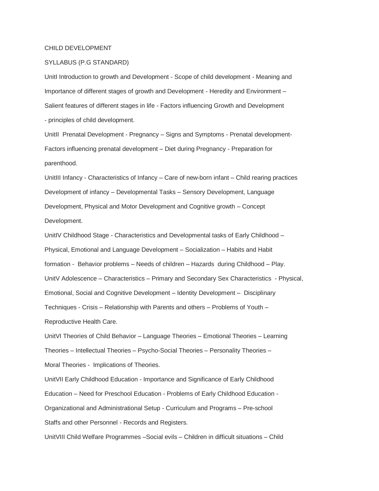## CHILD DEVELOPMENT

## SYLLABUS (P.G STANDARD)

UnitI Introduction to growth and Development - Scope of child development - Meaning and Importance of different stages of growth and Development - Heredity and Environment – Salient features of different stages in life - Factors influencing Growth and Development - principles of child development.

UnitII Prenatal Development - Pregnancy – Signs and Symptoms - Prenatal development-Factors influencing prenatal development – Diet during Pregnancy - Preparation for parenthood.

UnitIII Infancy - Characteristics of Infancy – Care of new-born infant – Child rearing practices Development of infancy – Developmental Tasks – Sensory Development, Language Development, Physical and Motor Development and Cognitive growth – Concept Development.

UnitIV Childhood Stage - Characteristics and Developmental tasks of Early Childhood – Physical, Emotional and Language Development – Socialization – Habits and Habit formation - Behavior problems – Needs of children – Hazards during Childhood – Play. UnitV Adolescence – Characteristics – Primary and Secondary Sex Characteristics - Physical, Emotional, Social and Cognitive Development – Identity Development – Disciplinary Techniques - Crisis – Relationship with Parents and others – Problems of Youth – Reproductive Health Care.

UnitVI Theories of Child Behavior – Language Theories – Emotional Theories – Learning

Theories – Intellectual Theories – Psycho-Social Theories – Personality Theories –

Moral Theories - Implications of Theories.

UnitVII Early Childhood Education - Importance and Significance of Early Childhood

Education – Need for Preschool Education - Problems of Early Childhood Education -

Organizational and Administrational Setup - Curriculum and Programs – Pre-school

Staffs and other Personnel - Records and Registers.

UnitVIII Child Welfare Programmes –Social evils – Children in difficult situations – Child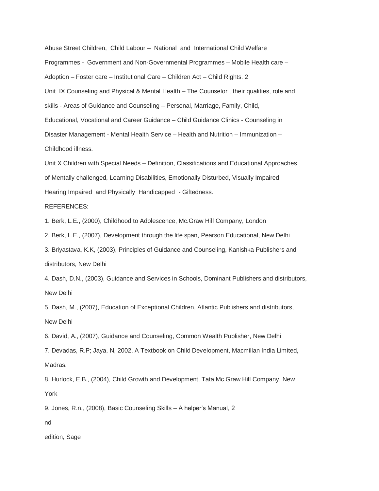Abuse Street Children, Child Labour – National and International Child Welfare Programmes - Government and Non-Governmental Programmes – Mobile Health care – Adoption – Foster care – Institutional Care – Children Act – Child Rights. 2 Unit IX Counseling and Physical & Mental Health – The Counselor , their qualities, role and skills - Areas of Guidance and Counseling – Personal, Marriage, Family, Child, Educational, Vocational and Career Guidance – Child Guidance Clinics - Counseling in Disaster Management - Mental Health Service – Health and Nutrition – Immunization – Childhood illness.

Unit X Children with Special Needs – Definition, Classifications and Educational Approaches of Mentally challenged, Learning Disabilities, Emotionally Disturbed, Visually Impaired Hearing Impaired and Physically Handicapped - Giftedness.

REFERENCES:

1. Berk, L.E., (2000), Childhood to Adolescence, Mc.Graw Hill Company, London

2. Berk, L.E., (2007), Development through the life span, Pearson Educational, New Delhi

3. Briyastava, K.K, (2003), Principles of Guidance and Counseling, Kanishka Publishers and distributors, New Delhi

4. Dash, D.N., (2003), Guidance and Services in Schools, Dominant Publishers and distributors, New Delhi

5. Dash, M., (2007), Education of Exceptional Children, Atlantic Publishers and distributors, New Delhi

6. David, A., (2007), Guidance and Counseling, Common Wealth Publisher, New Delhi

7. Devadas, R.P; Jaya, N, 2002, A Textbook on Child Development, Macmillan India Limited, Madras.

8. Hurlock, E.B., (2004), Child Growth and Development, Tata Mc.Graw Hill Company, New York

9. Jones, R.n., (2008), Basic Counseling Skills – A helper's Manual, 2

nd

edition, Sage